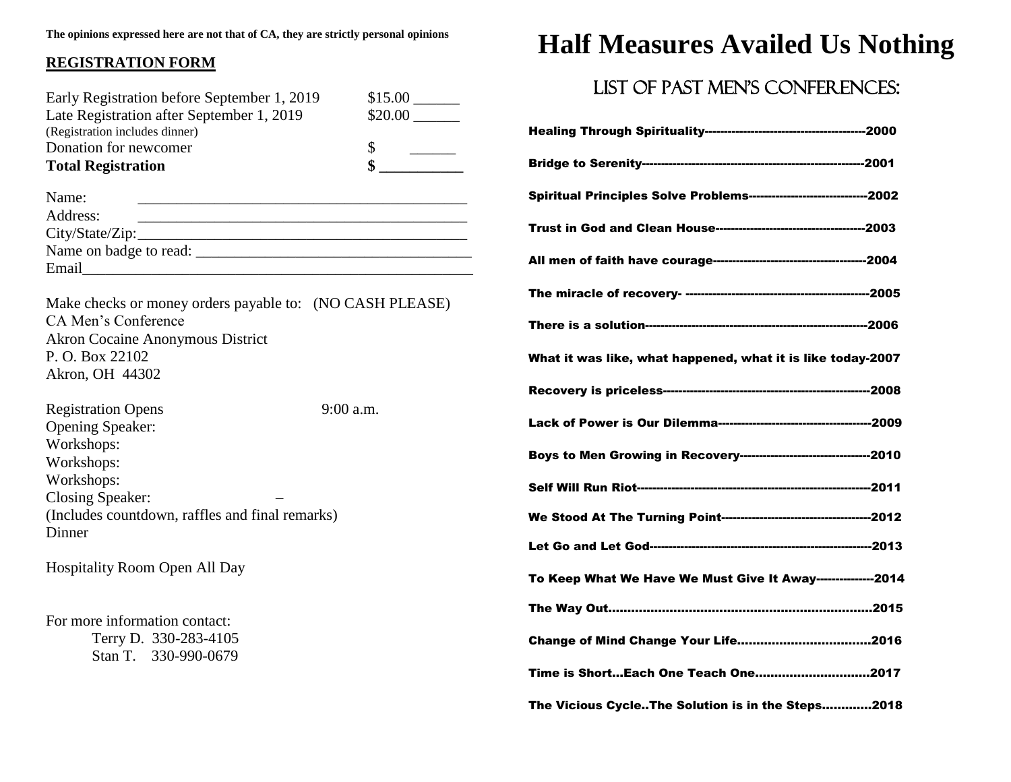#### **REGISTRATION FORM**

| Early Registration before September 1, 2019<br>Late Registration after September 1, 2019<br>(Registration includes dinner)                                                             |                      |
|----------------------------------------------------------------------------------------------------------------------------------------------------------------------------------------|----------------------|
| Donation for newcomer                                                                                                                                                                  | $\frac{1}{\sqrt{2}}$ |
| <b>Total Registration</b>                                                                                                                                                              |                      |
| Name:                                                                                                                                                                                  |                      |
| Address:<br><u> 2000 - Jan James James Jan James James Jan James James Jan James James Jan Jan James Jan Jan Jan Jan Jan Jan</u>                                                       |                      |
|                                                                                                                                                                                        |                      |
|                                                                                                                                                                                        |                      |
| Make checks or money orders payable to: (NO CASH PLEASE)<br>CA Men's Conference<br><b>Akron Cocaine Anonymous District</b><br>P.O. Box 22102<br>Akron, OH 44302                        |                      |
| <b>Registration Opens</b><br><b>Opening Speaker:</b><br>Workshops:<br>Workshops:<br>Workshops:<br><b>Closing Speaker:</b><br>(Includes countdown, raffles and final remarks)<br>Dinner | $9:00$ a.m.          |
| <b>Hospitality Room Open All Day</b>                                                                                                                                                   |                      |
| For more information contact:<br>Terry D. 330-283-4105<br>Stan T. 330-990-0679                                                                                                         |                      |

## **Half Measures Availed Us Nothing**

### LIST OF PAST MEN'S CONFERENCES:

| <b>Spiritual Principles Solve Problems--------------------------------2002</b> |  |
|--------------------------------------------------------------------------------|--|
|                                                                                |  |
|                                                                                |  |
|                                                                                |  |
|                                                                                |  |
| What it was like, what happened, what it is like today-2007                    |  |
|                                                                                |  |
|                                                                                |  |
| Boys to Men Growing in Recovery-----------------------------------2010         |  |
|                                                                                |  |
|                                                                                |  |
|                                                                                |  |
| To Keep What We Have We Must Give It Away---------------2014                   |  |
|                                                                                |  |
|                                                                                |  |
| Time is ShortEach One Teach One2017                                            |  |
| The Vicious CycleThe Solution is in the Steps2018                              |  |